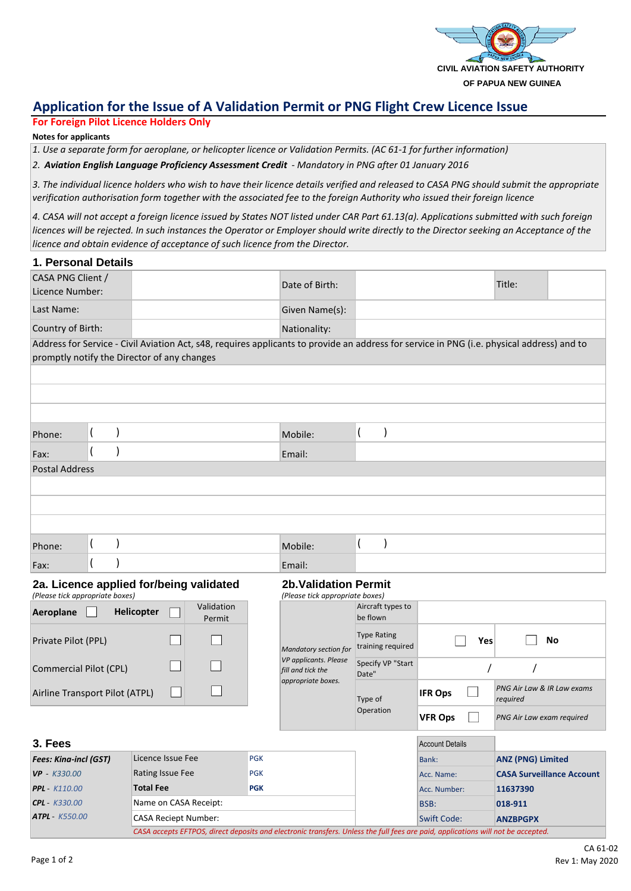

# **Application for the Issue of A Validation Permit or PNG Flight Crew Licence Issue**

## **For Foreign Pilot Licence Holders Only**

#### **Notes for applicants**

*1. Use a separate form for aeroplane, or helicopter licence or Validation Permits. (AC 61-1 for further information)*

*2. Aviation English Language Proficiency Assessment Credit - Mandatory in PNG after 01 January 2016*

*3. The individual licence holders who wish to have their licence details verified and released to CASA PNG should submit the appropriate verification authorisation form together with the associated fee to the foreign Authority who issued their foreign licence*

*4. CASA will not accept a foreign licence issued by States NOT listed under CAR Part 61.13(a). Applications submitted with such foreign licences will be rejected. In such instances the Operator or Employer should write directly to the Director seeking an Acceptance of the licence and obtain evidence of acceptance of such licence from the Director.*

| 1. Personal Details                                                                                                                        |  |            |                                                                                           |                                                                 |                  |              |                                        |        |                           |  |  |
|--------------------------------------------------------------------------------------------------------------------------------------------|--|------------|-------------------------------------------------------------------------------------------|-----------------------------------------------------------------|------------------|--------------|----------------------------------------|--------|---------------------------|--|--|
| CASA PNG Client /<br>Licence Number:                                                                                                       |  |            |                                                                                           | Date of Birth:                                                  |                  |              |                                        | Title: |                           |  |  |
| Last Name:                                                                                                                                 |  |            |                                                                                           | Given Name(s):                                                  |                  |              |                                        |        |                           |  |  |
| Country of Birth:                                                                                                                          |  |            |                                                                                           |                                                                 |                  | Nationality: |                                        |        |                           |  |  |
| Address for Service - Civil Aviation Act, s48, requires applicants to provide an address for service in PNG (i.e. physical address) and to |  |            |                                                                                           |                                                                 |                  |              |                                        |        |                           |  |  |
| promptly notify the Director of any changes                                                                                                |  |            |                                                                                           |                                                                 |                  |              |                                        |        |                           |  |  |
|                                                                                                                                            |  |            |                                                                                           |                                                                 |                  |              |                                        |        |                           |  |  |
|                                                                                                                                            |  |            |                                                                                           |                                                                 |                  |              |                                        |        |                           |  |  |
|                                                                                                                                            |  |            |                                                                                           |                                                                 |                  |              |                                        |        |                           |  |  |
| Phone:                                                                                                                                     |  |            |                                                                                           |                                                                 |                  | Mobile:      | (<br>$\mathcal{E}$                     |        |                           |  |  |
| Fax:                                                                                                                                       |  |            |                                                                                           |                                                                 | Email:           |              |                                        |        |                           |  |  |
| <b>Postal Address</b>                                                                                                                      |  |            |                                                                                           |                                                                 |                  |              |                                        |        |                           |  |  |
|                                                                                                                                            |  |            |                                                                                           |                                                                 |                  |              |                                        |        |                           |  |  |
|                                                                                                                                            |  |            |                                                                                           |                                                                 |                  |              |                                        |        |                           |  |  |
|                                                                                                                                            |  |            |                                                                                           |                                                                 |                  |              |                                        |        |                           |  |  |
| Phone:                                                                                                                                     |  |            |                                                                                           |                                                                 |                  | Mobile:      | (                                      |        |                           |  |  |
| Fax:                                                                                                                                       |  |            |                                                                                           |                                                                 |                  | Email:       |                                        |        |                           |  |  |
| 2a. Licence applied for/being validated<br>(Please tick appropriate boxes)                                                                 |  |            |                                                                                           | <b>2b. Validation Permit</b><br>(Please tick appropriate boxes) |                  |              |                                        |        |                           |  |  |
| Aeroplane                                                                                                                                  |  | Helicopter |                                                                                           | Validation<br>Permit                                            |                  |              | Aircraft types to<br>be flown          |        |                           |  |  |
| Private Pilot (PPL)                                                                                                                        |  |            | Mandatory section for<br>VP applicants. Please<br>fill and tick the<br>appropriate boxes. | <b>Type Rating</b><br>training required                         | <b>No</b><br>Yes |              |                                        |        |                           |  |  |
| Commercial Pilot (CPL)                                                                                                                     |  |            |                                                                                           | Specify VP "Start<br>Date"                                      |                  |              |                                        |        |                           |  |  |
| Airline Transport Pilot (ATPL)                                                                                                             |  |            |                                                                                           | Type of                                                         | <b>IFR Ops</b>   |              | PNG Air Law & IR Law exams<br>required |        |                           |  |  |
|                                                                                                                                            |  |            |                                                                                           |                                                                 |                  | Operation    | <b>VFR Ops</b>                         |        | PNG Air Law exam required |  |  |

| 3. Fees                      |                                                                                                                                  |            |  |  | <b>Account Details</b> |                                  |  |
|------------------------------|----------------------------------------------------------------------------------------------------------------------------------|------------|--|--|------------------------|----------------------------------|--|
| <b>Fees: Kina-incl (GST)</b> | Licence Issue Fee                                                                                                                | <b>PGK</b> |  |  | Bank:                  | <b>ANZ (PNG) Limited</b>         |  |
| $VP - K330.00$               | Rating Issue Fee                                                                                                                 | <b>PGK</b> |  |  | Acc. Name:             | <b>CASA Surveillance Account</b> |  |
| <b>PPL</b> - K110.00         | <b>Total Fee</b>                                                                                                                 | <b>PGK</b> |  |  | Acc. Number:           | 11637390                         |  |
| $CPL - K330.00$              | Name on CASA Receipt:                                                                                                            |            |  |  | BSB:                   | 018-911                          |  |
| $ATPL - K550.00$             | <b>CASA Reciept Number:</b>                                                                                                      |            |  |  | <b>Swift Code:</b>     | <b>ANZBPGPX</b>                  |  |
|                              | CASA accepts EFTPOS, direct deposits and electronic transfers. Unless the full fees are paid, applications will not be accepted. |            |  |  |                        |                                  |  |